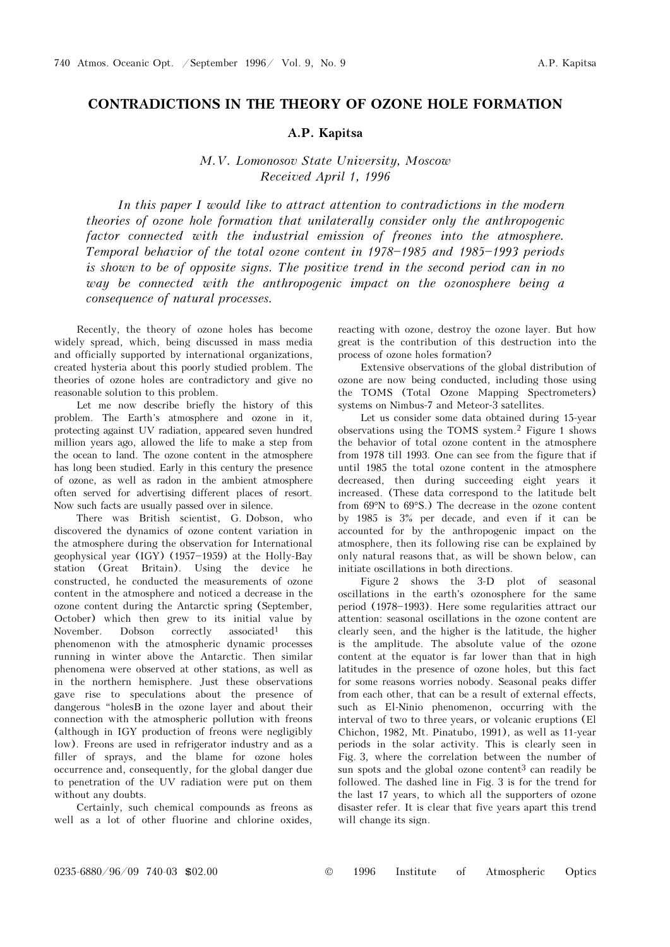## CONTRADICTIONS IN THE THEORY OF OZONE HOLE FORMATION

## A.P. Kapitsa

## M.V. Lomonosov State University, Moscow Received April 1, 1996

In this paper I would like to attract attention to contradictions in the modern theories of ozone hole formation that unilaterally consider only the anthropogenic factor connected with the industrial emission of freones into the atmosphere. Temporal behavior of the total ozone content in  $1978-1985$  and  $1985-1993$  periods is shown to be of opposite signs. The positive trend in the second period can in no way be connected with the anthropogenic impact on the ozonosphere being a consequence of natural processes.

Recently, the theory of ozone holes has become widely spread, which, being discussed in mass media and officially supported by international organizations, created hysteria about this poorly studied problem. The theories of ozone holes are contradictory and give no reasonable solution to this problem.

Let me now describe briefly the history of this problem. The Earth's atmosphere and ozone in it, protecting against UV radiation, appeared seven hundred million years ago, allowed the life to make a step from the ocean to land. The ozone content in the atmosphere has long been studied. Early in this century the presence of ozone, as well as radon in the ambient atmosphere often served for advertising different places of resort. Now such facts are usually passed over in silence.

There was British scientist, G. Dobson, who discovered the dynamics of ozone content variation in the atmosphere during the observation for International geophysical year (IGY) (1957-1959) at the Holly-Bay station (Great Britain). Using the device he constructed, he conducted the measurements of ozone content in the atmosphere and noticed a decrease in the ozone content during the Antarctic spring (September, October) which then grew to its initial value by November. Dobson correctly associated<sup>1</sup> this phenomenon with the atmospheric dynamic processes running in winter above the Antarctic. Then similar phenomena were observed at other stations, as well as in the northern hemisphere. Just these observations gave rise to speculations about the presence of dangerous "holesB in the ozone layer and about their connection with the atmospheric pollution with freons (although in IGY production of freons were negligibly low). Freons are used in refrigerator industry and as a filler of sprays, and the blame for ozone holes occurrence and, consequently, for the global danger due to penetration of the UV radiation were put on them without any doubts.

Certainly, such chemical compounds as freons as well as a lot of other fluorine and chlorine oxides,

reacting with ozone, destroy the ozone layer. But how great is the contribution of this destruction into the process of ozone holes formation?

Extensive observations of the global distribution of ozone are now being conducted, including those using the TOMS (Total Ozone Mapping Spectrometers) systems on Nimbus-7 and Meteor-3 satellites.

Let us consider some data obtained during 15-year observations using the TOMS system.2 Figure 1 shows the behavior of total ozone content in the atmosphere from 1978 till 1993. One can see from the figure that if until 1985 the total ozone content in the atmosphere decreased, then during succeeding eight years it increased. (These data correspond to the latitude belt from 69°N to 69°S.) The decrease in the ozone content by 1985 is 3% per decade, and even if it can be accounted for by the anthropogenic impact on the atmosphere, then its following rise can be explained by only natural reasons that, as will be shown below, can initiate oscillations in both directions.

Figure 2 shows the 3-D plot of seasonal oscillations in the earth's ozonosphere for the same period (1978–1993). Here some regularities attract our attention: seasonal oscillations in the ozone content are clearly seen, and the higher is the latitude, the higher is the amplitude. The absolute value of the ozone content at the equator is far lower than that in high latitudes in the presence of ozone holes, but this fact for some reasons worries nobody. Seasonal peaks differ from each other, that can be a result of external effects, such as El-Ninio phenomenon, occurring with the interval of two to three years, or volcanic eruptions (El Chichon, 1982, Mt. Pinatubo, 1991), as well as 11-year periods in the solar activity. This is clearly seen in Fig. 3, where the correlation between the number of sun spots and the global ozone content<sup>3</sup> can readily be followed. The dashed line in Fig. 3 is for the trend for the last 17 years, to which all the supporters of ozone disaster refer. It is clear that five years apart this trend will change its sign.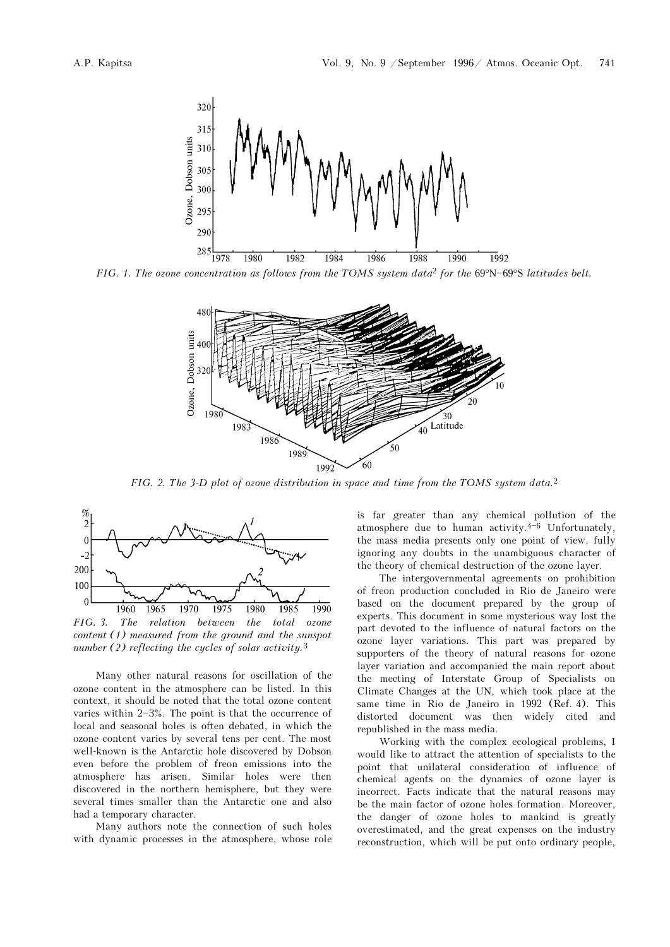



FIG. 2. The 3-D plot of ozone distribution in space and time from the TOMS system data.<sup>2</sup>



FIG. 3. The relation between the total ozone content (1) measured from the ground and the sunspot number  $(2)$  reflecting the cycles of solar activity.<sup>3</sup>

Many other natural reasons for oscillation of the ozone content in the atmosphere can be listed. In this context, it should be noted that the total ozone content varies within  $2-3\%$ . The point is that the occurrence of local and seasonal holes is often debated, in which the ozone content varies by several tens per cent. The most well-known is the Antarctic hole discovered by Dobson even before the problem of freon emissions into the atmosphere has arisen. Similar holes were then discovered in the northern hemisphere, but they were several times smaller than the Antarctic one and also had a temporary character.

Many authors note the connection of such holes with dynamic processes in the atmosphere, whose role is far greater than any chemical pollution of the atmosphere due to human activity. $4-6$  Unfortunately, the mass media presents only one point of view, fully ignoring any doubts in the unambiguous character of the theory of chemical destruction of the ozone layer.

The intergovernmental agreements on prohibition of freon production concluded in Rio de Janeiro were based on the document prepared by the group of experts. This document in some mysterious way lost the part devoted to the influence of natural factors on the ozone layer variations. This part was prepared by supporters of the theory of natural reasons for ozone layer variation and accompanied the main report about the meeting of Interstate Group of Specialists on Climate Changes at the UN, which took place at the same time in Rio de Janeiro in 1992 (Ref. 4). This distorted document was then widely cited and republished in the mass media.

Working with the complex ecological problems, I would like to attract the attention of specialists to the point that unilateral consideration of influence of chemical agents on the dynamics of ozone layer is incorrect. Facts indicate that the natural reasons may be the main factor of ozone holes formation. Moreover, the danger of ozone holes to mankind is greatly overestimated, and the great expenses on the industry reconstruction, which will be put onto ordinary people,